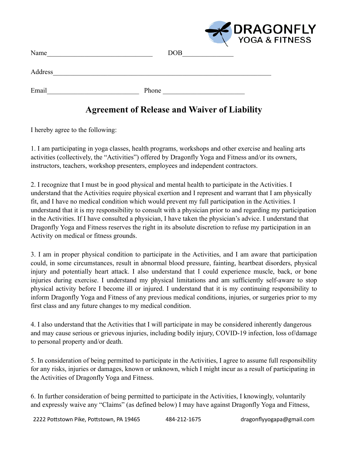|         | <b>PRAGONFLY</b> |  |
|---------|------------------|--|
| Name    | <b>DOB</b>       |  |
| Address |                  |  |
| Email   | Phone            |  |

## **Agreement of Release and Waiver of Liability**

I hereby agree to the following:

1. I am participating in yoga classes, health programs, workshops and other exercise and healing arts activities (collectively, the "Activities") offered by Dragonfly Yoga and Fitness and/or its owners, instructors, teachers, workshop presenters, employees and independent contractors.

2. I recognize that I must be in good physical and mental health to participate in the Activities. I understand that the Activities require physical exertion and I represent and warrant that I am physically fit, and I have no medical condition which would prevent my full participation in the Activities. I understand that it is my responsibility to consult with a physician prior to and regarding my participation in the Activities. If I have consulted a physician, I have taken the physician's advice. I understand that Dragonfly Yoga and Fitness reserves the right in its absolute discretion to refuse my participation in an Activity on medical or fitness grounds.

3. I am in proper physical condition to participate in the Activities, and I am aware that participation could, in some circumstances, result in abnormal blood pressure, fainting, heartbeat disorders, physical injury and potentially heart attack. I also understand that I could experience muscle, back, or bone injuries during exercise. I understand my physical limitations and am sufficiently self-aware to stop physical activity before I become ill or injured. I understand that it is my continuing responsibility to inform Dragonfly Yoga and Fitness of any previous medical conditions, injuries, or surgeries prior to my first class and any future changes to my medical condition.

4. I also understand that the Activities that I will participate in may be considered inherently dangerous and may cause serious or grievous injuries, including bodily injury, COVID-19 infection, loss of/damage to personal property and/or death.

5. In consideration of being permitted to participate in the Activities, I agree to assume full responsibility for any risks, injuries or damages, known or unknown, which I might incur as a result of participating in the Activities of Dragonfly Yoga and Fitness.

6. In further consideration of being permitted to participate in the Activities, I knowingly, voluntarily and expressly waive any "Claims" (as defined below) I may have against Dragonfly Yoga and Fitness,